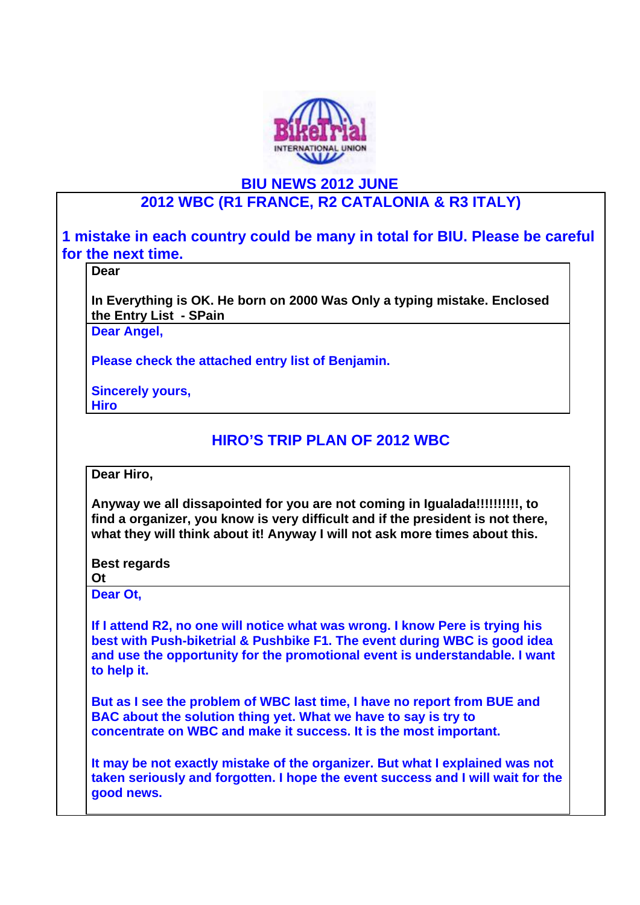

# **BIU NEWS 2012 JUNE**

# **2012 WBC (R1 FRANCE, R2 CATALONIA & R3 ITALY)**

**1 mistake in each country could be many in total for BIU. Please be careful for the next time.** 

### **Dear**

**In Everything is OK. He born on 2000 Was Only a typing mistake. Enclosed the Entry List - SPain**

**Dear Angel,**

**Please check the attached entry list of Benjamin.**

#### **Sincerely yours, Hiro**

# **HIRO'S TRIP PLAN OF 2012 WBC**

**Dear Hiro,**

**Anyway we all dissapointed for you are not coming in Igualada!!!!!!!!!!, to find a organizer, you know is very difficult and if the president is not there, what they will think about it! Anyway I will not ask more times about this.**

**Best regards**

**Ot**

**Dear Ot,**

**If I attend R2, no one will notice what was wrong. I know Pere is trying his best with Push-biketrial & Pushbike F1. The event during WBC is good idea and use the opportunity for the promotional event is understandable. I want to help it.**

**But as I see the problem of WBC last time, I have no report from BUE and BAC about the solution thing yet. What we have to say is try to concentrate on WBC and make it success. It is the most important.**

**It may be not exactly mistake of the organizer. But what I explained was not taken seriously and forgotten. I hope the event success and I will wait for the good news.**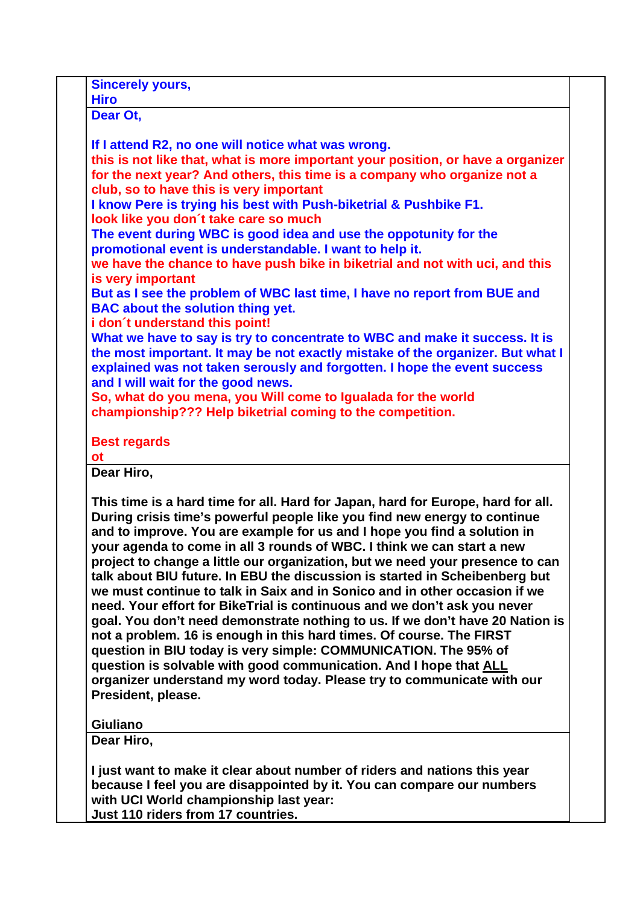| Dear Ot,                      |                                                                                                                                                                                                                                                                                                                                                                                                                                                                                                                                                                                                                                                                                                                                                                                                                                                                                                                                                                                                                                                |
|-------------------------------|------------------------------------------------------------------------------------------------------------------------------------------------------------------------------------------------------------------------------------------------------------------------------------------------------------------------------------------------------------------------------------------------------------------------------------------------------------------------------------------------------------------------------------------------------------------------------------------------------------------------------------------------------------------------------------------------------------------------------------------------------------------------------------------------------------------------------------------------------------------------------------------------------------------------------------------------------------------------------------------------------------------------------------------------|
|                               | If I attend R2, no one will notice what was wrong.                                                                                                                                                                                                                                                                                                                                                                                                                                                                                                                                                                                                                                                                                                                                                                                                                                                                                                                                                                                             |
|                               | this is not like that, what is more important your position, or have a organizer<br>for the next year? And others, this time is a company who organize not a                                                                                                                                                                                                                                                                                                                                                                                                                                                                                                                                                                                                                                                                                                                                                                                                                                                                                   |
|                               | club, so to have this is very important<br>I know Pere is trying his best with Push-biketrial & Pushbike F1.<br>look like you don't take care so much                                                                                                                                                                                                                                                                                                                                                                                                                                                                                                                                                                                                                                                                                                                                                                                                                                                                                          |
|                               | The event during WBC is good idea and use the oppotunity for the<br>promotional event is understandable. I want to help it.                                                                                                                                                                                                                                                                                                                                                                                                                                                                                                                                                                                                                                                                                                                                                                                                                                                                                                                    |
|                               | we have the chance to have push bike in biketrial and not with uci, and this<br>is very important                                                                                                                                                                                                                                                                                                                                                                                                                                                                                                                                                                                                                                                                                                                                                                                                                                                                                                                                              |
|                               | But as I see the problem of WBC last time, I have no report from BUE and<br><b>BAC about the solution thing yet.</b>                                                                                                                                                                                                                                                                                                                                                                                                                                                                                                                                                                                                                                                                                                                                                                                                                                                                                                                           |
|                               | i don't understand this point!<br>What we have to say is try to concentrate to WBC and make it success. It is<br>the most important. It may be not exactly mistake of the organizer. But what I<br>explained was not taken serously and forgotten. I hope the event success<br>and I will wait for the good news.                                                                                                                                                                                                                                                                                                                                                                                                                                                                                                                                                                                                                                                                                                                              |
|                               | So, what do you mena, you Will come to Igualada for the world<br>championship??? Help biketrial coming to the competition.                                                                                                                                                                                                                                                                                                                                                                                                                                                                                                                                                                                                                                                                                                                                                                                                                                                                                                                     |
| <b>ot</b>                     | <b>Best regards</b>                                                                                                                                                                                                                                                                                                                                                                                                                                                                                                                                                                                                                                                                                                                                                                                                                                                                                                                                                                                                                            |
| Dear Hiro,                    |                                                                                                                                                                                                                                                                                                                                                                                                                                                                                                                                                                                                                                                                                                                                                                                                                                                                                                                                                                                                                                                |
|                               | This time is a hard time for all. Hard for Japan, hard for Europe, hard for all.<br>During crisis time's powerful people like you find new energy to continue<br>and to improve. You are example for us and I hope you find a solution in<br>your agenda to come in all 3 rounds of WBC. I think we can start a new<br>project to change a little our organization, but we need your presence to can<br>talk about BIU future. In EBU the discussion is started in Scheibenberg but<br>we must continue to talk in Saix and in Sonico and in other occasion if we<br>need. Your effort for BikeTrial is continuous and we don't ask you never<br>goal. You don't need demonstrate nothing to us. If we don't have 20 Nation is<br>not a problem. 16 is enough in this hard times. Of course. The FIRST<br>question in BIU today is very simple: COMMUNICATION. The 95% of<br>question is solvable with good communication. And I hope that ALL<br>organizer understand my word today. Please try to communicate with our<br>President, please. |
|                               |                                                                                                                                                                                                                                                                                                                                                                                                                                                                                                                                                                                                                                                                                                                                                                                                                                                                                                                                                                                                                                                |
| <b>Giuliano</b><br>Dear Hiro, |                                                                                                                                                                                                                                                                                                                                                                                                                                                                                                                                                                                                                                                                                                                                                                                                                                                                                                                                                                                                                                                |

**with UCI World championship last year: Just 110 riders from 17 countries.**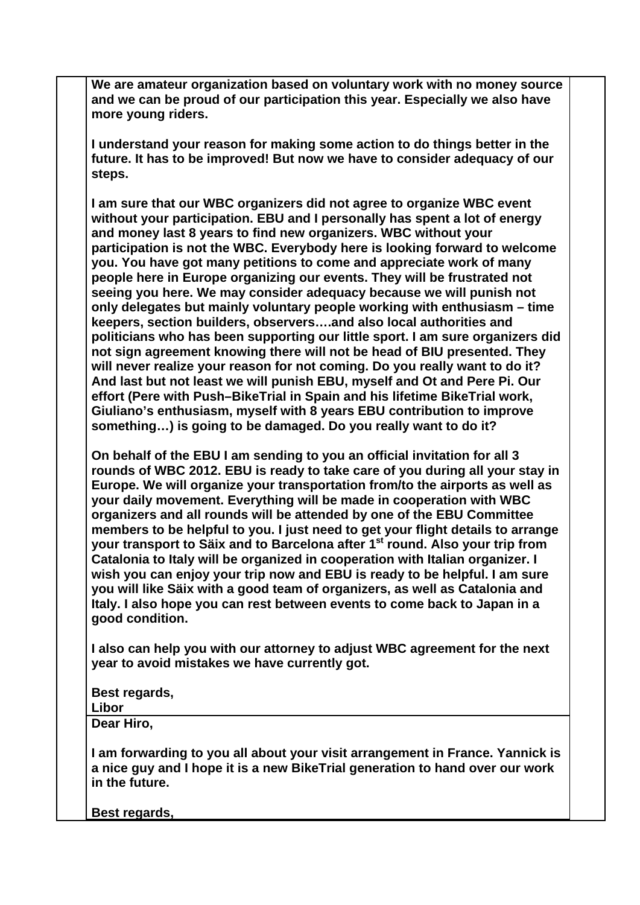**We are amateur organization based on voluntary work with no money source and we can be proud of our participation this year. Especially we also have more young riders.**

**I understand your reason for making some action to do things better in the future. It has to be improved! But now we have to consider adequacy of our steps.**

**I am sure that our WBC organizers did not agree to organize WBC event without your participation. EBU and I personally has spent a lot of energy and money last 8 years to find new organizers. WBC without your participation is not the WBC. Everybody here is looking forward to welcome you. You have got many petitions to come and appreciate work of many people here in Europe organizing our events. They will be frustrated not seeing you here. We may consider adequacy because we will punish not only delegates but mainly voluntary people working with enthusiasm – time keepers, section builders, observers….and also local authorities and politicians who has been supporting our little sport. I am sure organizers did not sign agreement knowing there will not be head of BIU presented. They will never realize your reason for not coming. Do you really want to do it? And last but not least we will punish EBU, myself and Ot and Pere Pi. Our effort (Pere with Push–BikeTrial in Spain and his lifetime BikeTrial work, Giuliano's enthusiasm, myself with 8 years EBU contribution to improve something…) is going to be damaged. Do you really want to do it?**

**On behalf of the EBU I am sending to you an official invitation for all 3 rounds of WBC 2012. EBU is ready to take care of you during all your stay in Europe. We will organize your transportation from/to the airports as well as your daily movement. Everything will be made in cooperation with WBC organizers and all rounds will be attended by one of the EBU Committee members to be helpful to you. I just need to get your flight details to arrange your transport to Säix and to Barcelona after 1st round. Also your trip from Catalonia to Italy will be organized in cooperation with Italian organizer. I wish you can enjoy your trip now and EBU is ready to be helpful. I am sure you will like Säix with a good team of organizers, as well as Catalonia and Italy. I also hope you can rest between events to come back to Japan in a good condition.**

**I also can help you with our attorney to adjust WBC agreement for the next year to avoid mistakes we have currently got.**

**Best regards,**

#### **Libor**

**Dear Hiro,** 

**I am forwarding to you all about your visit arrangement in France. Yannick is a nice guy and I hope it is a new BikeTrial generation to hand over our work in the future.** 

**Best regards,**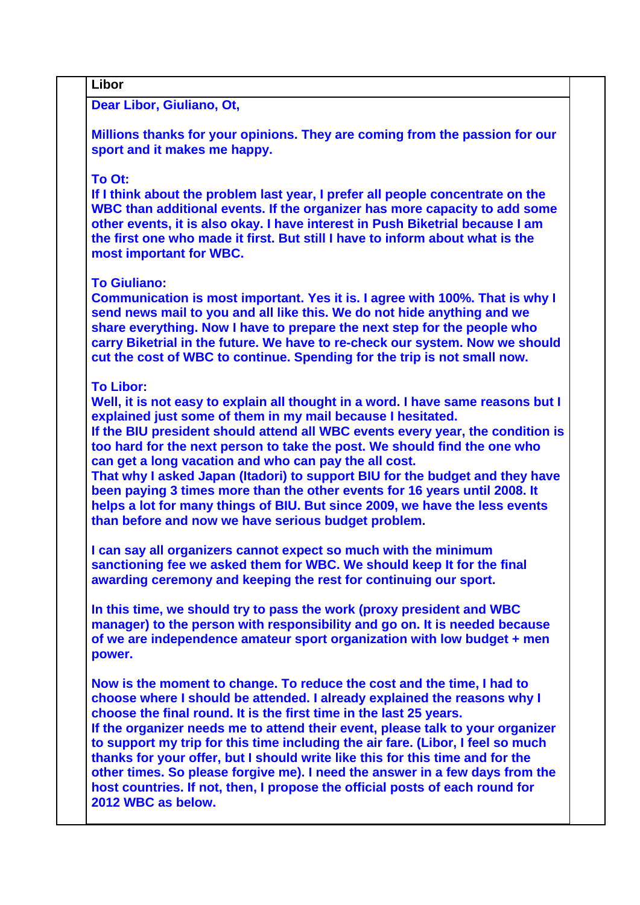## **Libor**

**Dear Libor, Giuliano, Ot,**

**Millions thanks for your opinions. They are coming from the passion for our sport and it makes me happy.** 

#### **To Ot:**

**If I think about the problem last year, I prefer all people concentrate on the WBC than additional events. If the organizer has more capacity to add some other events, it is also okay. I have interest in Push Biketrial because I am the first one who made it first. But still I have to inform about what is the most important for WBC.** 

#### **To Giuliano:**

**Communication is most important. Yes it is. I agree with 100%. That is why I send news mail to you and all like this. We do not hide anything and we share everything. Now I have to prepare the next step for the people who carry Biketrial in the future. We have to re-check our system. Now we should cut the cost of WBC to continue. Spending for the trip is not small now.**

### **To Libor:**

**Well, it is not easy to explain all thought in a word. I have same reasons but I explained just some of them in my mail because I hesitated.** 

**If the BIU president should attend all WBC events every year, the condition is too hard for the next person to take the post. We should find the one who can get a long vacation and who can pay the all cost.** 

**That why I asked Japan (Itadori) to support BIU for the budget and they have been paying 3 times more than the other events for 16 years until 2008. It helps a lot for many things of BIU. But since 2009, we have the less events than before and now we have serious budget problem.** 

**I can say all organizers cannot expect so much with the minimum sanctioning fee we asked them for WBC. We should keep It for the final awarding ceremony and keeping the rest for continuing our sport.** 

**In this time, we should try to pass the work (proxy president and WBC manager) to the person with responsibility and go on. It is needed because of we are independence amateur sport organization with low budget + men power.** 

**Now is the moment to change. To reduce the cost and the time, I had to choose where I should be attended. I already explained the reasons why I choose the final round. It is the first time in the last 25 years. If the organizer needs me to attend their event, please talk to your organizer to support my trip for this time including the air fare. (Libor, I feel so much thanks for your offer, but I should write like this for this time and for the other times. So please forgive me). I need the answer in a few days from the host countries. If not, then, I propose the official posts of each round for 2012 WBC as below.**